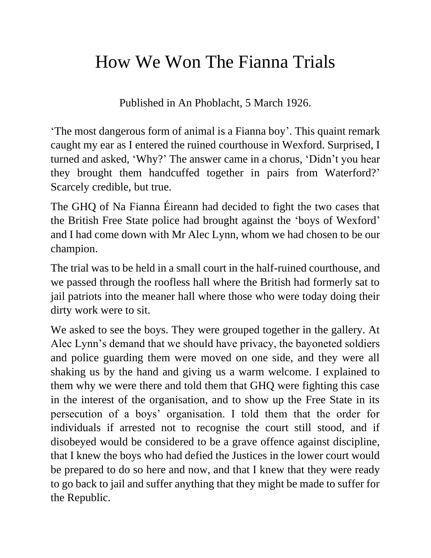## How We Won The Fianna Trials

Published in An Phoblacht, 5 March 1926.

'The most dangerous form of animal is a Fianna boy'. This quaint remark caught my ear as I entered the ruined courthouse in Wexford. Surprised, I turned and asked, 'Why?' The answer came in a chorus, 'Didn't you hear they brought them handcuffed together in pairs from Waterford?' Scarcely credible, but true.

The GHQ of Na Fianna Éireann had decided to fight the two cases that the British Free State police had brought against the 'boys of Wexford' and I had come down with Mr Alec Lynn, whom we had chosen to be our champion.

The trial was to be held in a small court in the half-ruined courthouse, and we passed through the roofless hall where the British had formerly sat to jail patriots into the meaner hall where those who were today doing their dirty work were to sit.

We asked to see the boys. They were grouped together in the gallery. At Alec Lynn's demand that we should have privacy, the bayoneted soldiers and police guarding them were moved on one side, and they were all shaking us by the hand and giving us a warm welcome. I explained to them why we were there and told them that GHQ were fighting this case in the interest of the organisation, and to show up the Free State in its persecution of a boys' organisation. I told them that the order for individuals if arrested not to recognise the court still stood, and if disobeyed would be considered to be a grave offence against discipline, that I knew the boys who had defied the Justices in the lower court would be prepared to do so here and now, and that I knew that they were ready to go back to jail and suffer anything that they might be made to suffer for the Republic.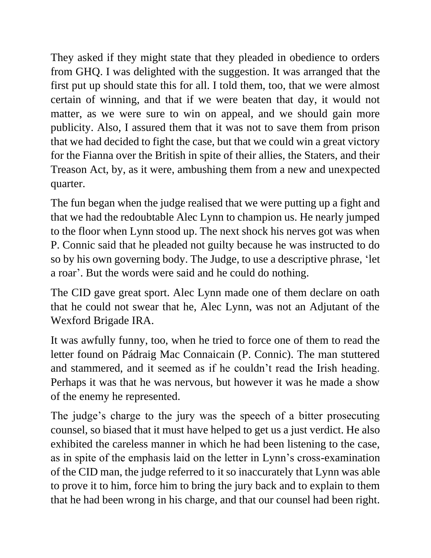They asked if they might state that they pleaded in obedience to orders from GHQ. I was delighted with the suggestion. It was arranged that the first put up should state this for all. I told them, too, that we were almost certain of winning, and that if we were beaten that day, it would not matter, as we were sure to win on appeal, and we should gain more publicity. Also, I assured them that it was not to save them from prison that we had decided to fight the case, but that we could win a great victory for the Fianna over the British in spite of their allies, the Staters, and their Treason Act, by, as it were, ambushing them from a new and unexpected quarter.

The fun began when the judge realised that we were putting up a fight and that we had the redoubtable Alec Lynn to champion us. He nearly jumped to the floor when Lynn stood up. The next shock his nerves got was when P. Connic said that he pleaded not guilty because he was instructed to do so by his own governing body. The Judge, to use a descriptive phrase, 'let a roar'. But the words were said and he could do nothing.

The CID gave great sport. Alec Lynn made one of them declare on oath that he could not swear that he, Alec Lynn, was not an Adjutant of the Wexford Brigade IRA.

It was awfully funny, too, when he tried to force one of them to read the letter found on Pádraig Mac Connaicain (P. Connic). The man stuttered and stammered, and it seemed as if he couldn't read the Irish heading. Perhaps it was that he was nervous, but however it was he made a show of the enemy he represented.

The judge's charge to the jury was the speech of a bitter prosecuting counsel, so biased that it must have helped to get us a just verdict. He also exhibited the careless manner in which he had been listening to the case, as in spite of the emphasis laid on the letter in Lynn's cross-examination of the CID man, the judge referred to it so inaccurately that Lynn was able to prove it to him, force him to bring the jury back and to explain to them that he had been wrong in his charge, and that our counsel had been right.